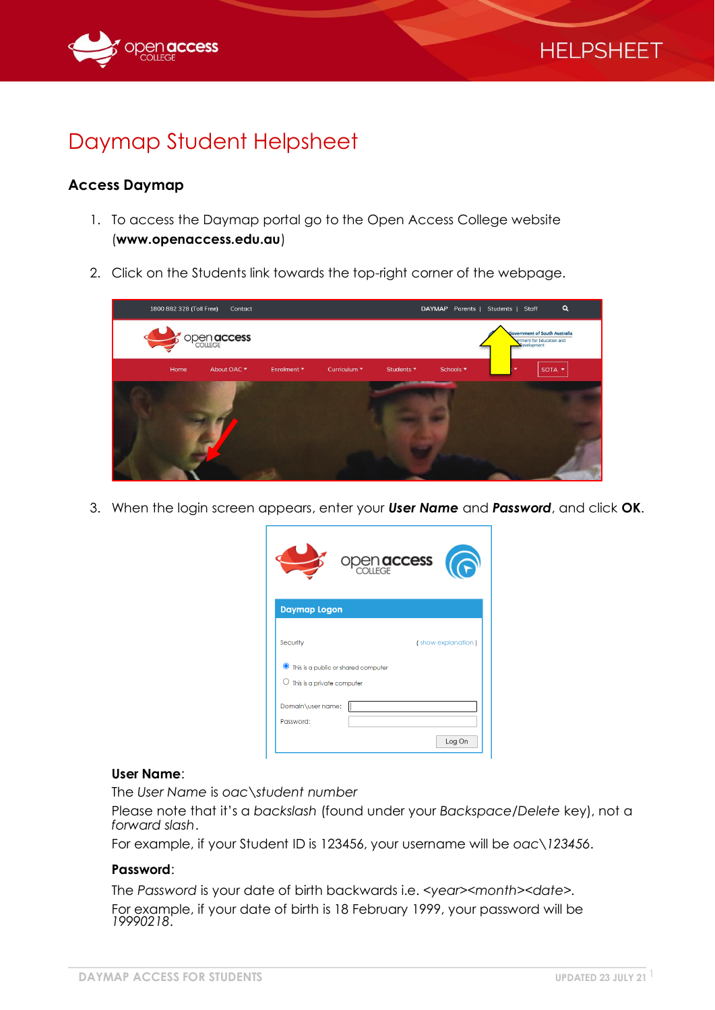



# Daymap Student Helpsheet

## **Access Daymap**

- 1. To access the Daymap portal go to the Open Access College website (**www.openaccess.edu.au**)
- 2. Click on the Students link towards the top-right corner of the webpage.



3. When the login screen appears, enter your *User Name* and *Password*, and click **OK**.

|                                                | <b>open access</b>                           |  |
|------------------------------------------------|----------------------------------------------|--|
| <b>Daymap Logon</b>                            |                                              |  |
| Security                                       | (show explanation)                           |  |
| $\circlearrowright$ This is a private computer | <b>O</b> This is a public or shared computer |  |
| Domain\user name:<br>Password:                 |                                              |  |
|                                                | Log On                                       |  |

#### **User Name**:

The *User Name* is *oac\student number*

Please note that it's a *backslash* (found under your *Backspace/Delete* key), not a *forward slash*.

For example, if your Student ID is 123456, your username will be *oac\123456*.

### **Password**:

The *Password* is your date of birth backwards i.e. *<year><month><date>.* For example, if your date of birth is 18 February 1999, your password will be *19990218*.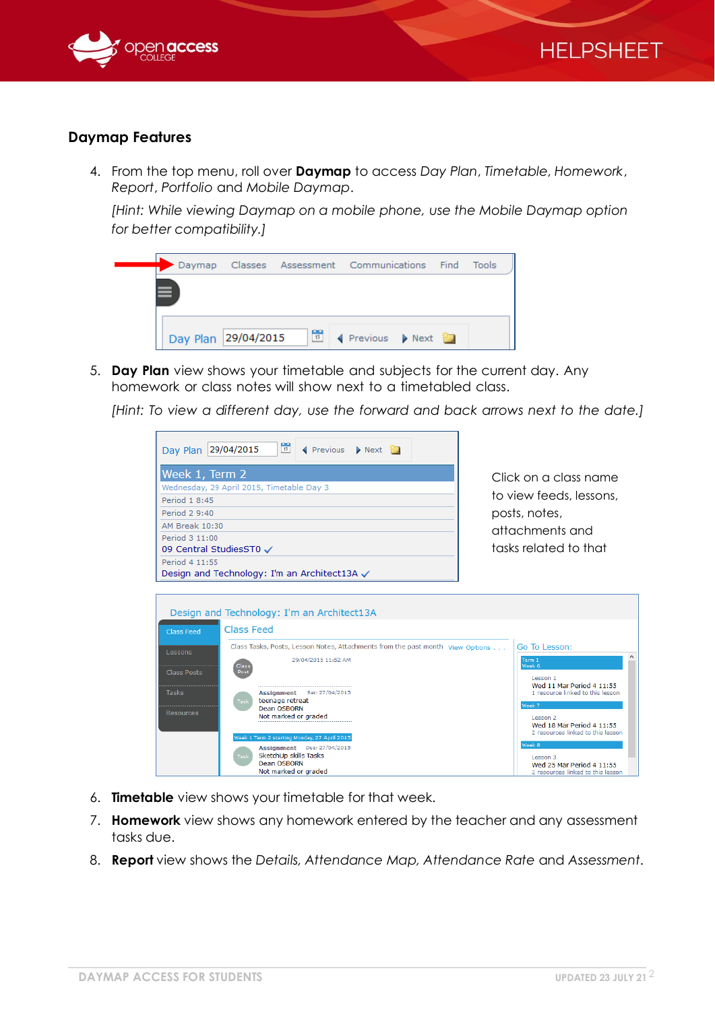



## **Daymap Features**

4. From the top menu, roll over **Daymap** to access *Day Plan*, *Timetable*, *Homework*, *Report*, *Portfolio* and *Mobile Daymap*.

*[Hint: While viewing Daymap on a mobile phone, use the Mobile Daymap option for better compatibility.]*



5. **Day Plan** view shows your timetable and subjects for the current day. Any homework or class notes will show next to a timetabled class.

*[Hint: To view a different day, use the forward and back arrows next to the date.]*



Click on a class name to view feeds, lessons, posts, notes, attachments and tasks related to that



- 6. **Timetable** view shows your timetable for that week.
- 7. **Homework** view shows any homework entered by the teacher and any assessment tasks due.
- 8. **Report** view shows the *Details, Attendance Map, Attendance Rate* and *Assessment*.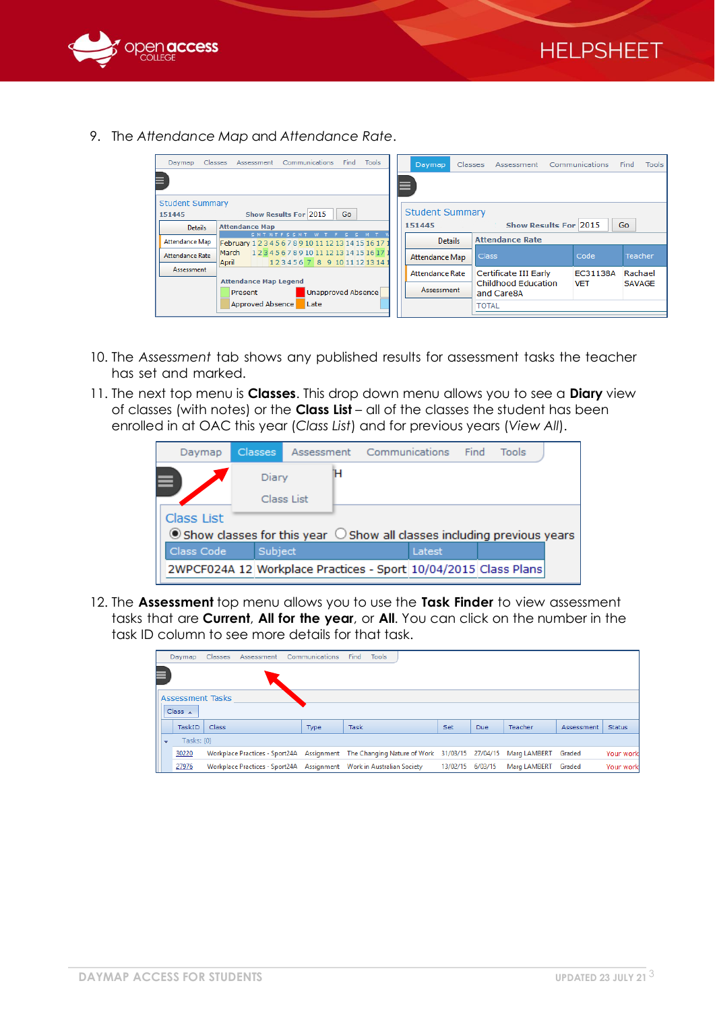

9. The *Attendance Map* and *Attendance Rate*.

| Daymap                 | <b>Tools</b><br>Communications<br>Find<br>Classes<br>Assessment              | Daymap                 | <b>Classes</b> | Assessment                               | Communications | Find | Tools          |
|------------------------|------------------------------------------------------------------------------|------------------------|----------------|------------------------------------------|----------------|------|----------------|
| ⋿                      |                                                                              |                        |                |                                          |                |      |                |
| <b>Student Summary</b> |                                                                              |                        |                |                                          |                |      |                |
| 151445                 | <b>Show Results For 2015</b><br>Go                                           | <b>Student Summary</b> |                |                                          |                |      |                |
| <b>Details</b>         | <b>Attendance Map</b>                                                        | 151445                 |                | <b>Show Results For 2015</b>             |                | Go   |                |
| Attendance Map         | SMTWTFSSMT W T F S S M<br>February 1 2 3 4 5 6 7 8 9 10 11 12 13 14 15 16 17 | <b>Details</b>         |                | <b>Attendance Rate</b>                   |                |      |                |
| Attendance Rate        | 12345678910111213141516171<br>March<br>1234567891011121314<br>April          | Attendance Map         |                | <b>Class</b>                             | Code           |      | <b>Teacher</b> |
| Assessment             |                                                                              | <b>Attendance Rate</b> |                | Certificate III Early                    | EC31138A       |      | Rachael        |
|                        | <b>Attendance Map Legend</b><br><b>Unapproved Absence</b><br>Present         | <b>Assessment</b>      |                | <b>Childhood Education</b><br>and Care8A | <b>VET</b>     |      | <b>SAVAGE</b>  |
|                        | Approved Absence<br>Late                                                     |                        |                | <b>TOTAL</b>                             |                |      |                |

- 10. The *Assessment* tab shows any published results for assessment tasks the teacher has set and marked.
- 11. The next top menu is **Classes**. This drop down menu allows you to see a **Diary** view of classes (with notes) or the **Class List** – all of the classes the student has been enrolled in at OAC this year (*Class List*) and for previous years (*View All*).

| Daymap                                                                                               | <b>Classes</b> |            |  | Assessment Communications Find Tools |  |  |
|------------------------------------------------------------------------------------------------------|----------------|------------|--|--------------------------------------|--|--|
|                                                                                                      |                | Diary      |  |                                      |  |  |
|                                                                                                      |                | Class List |  |                                      |  |  |
| Class List                                                                                           |                |            |  |                                      |  |  |
| $\bullet$ Show classes for this year $\,\circlearrowright$ Show all classes including previous years |                |            |  |                                      |  |  |
| Class Code                                                                                           |                | Subject    |  | Latest                               |  |  |
| 2WPCF024A 12 Workplace Practices - Sport 10/04/2015 Class Plans                                      |                |            |  |                                      |  |  |

12. The **Assessment** top menu allows you to use the **Task Finder** to view assessment tasks that are **Current**, **All for the year**, or **All**. You can click on the number in the task ID column to see more details for that task.

|                          | Daymap                             | <b>Classes</b> | Assessment | Communications | Tools<br>Find                                                                                        |                  |     |              |            |                  |
|--------------------------|------------------------------------|----------------|------------|----------------|------------------------------------------------------------------------------------------------------|------------------|-----|--------------|------------|------------------|
|                          |                                    |                |            |                |                                                                                                      |                  |     |              |            |                  |
|                          |                                    |                |            |                |                                                                                                      |                  |     |              |            |                  |
|                          | <b>Assessment Tasks</b><br>Class A |                |            |                |                                                                                                      |                  |     |              |            |                  |
|                          |                                    |                |            |                |                                                                                                      |                  |     |              |            |                  |
|                          | TaskID                             | Class          |            | Type           | Task                                                                                                 | Set              | Due | Teacher      | Assessment | <b>Status</b>    |
| $\overline{\phantom{a}}$ | Tasks: {0}                         |                |            |                |                                                                                                      |                  |     |              |            |                  |
|                          | 30220                              |                |            |                | Workplace Practices - Sport24A Assignment The Changing Nature of Work 31/03/15 27/04/15 Marg LAMBERT |                  |     |              | Graded     | Your work        |
|                          | 27976                              |                |            |                | Workplace Practices - Sport24A Assignment Work in Australian Society                                 | 13/02/15 6/03/15 |     | Marg LAMBERT | Graded     | <b>Your work</b> |

**HELPSHEET**